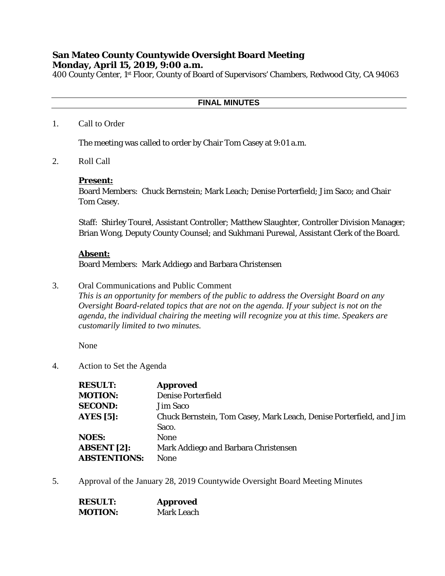# **San Mateo County Countywide Oversight Board Meeting Monday, April 15, 2019, 9:00 a.m.**

400 County Center, 1st Floor, County of Board of Supervisors' Chambers, Redwood City, CA 94063

## **FINAL MINUTES**

#### 1. Call to Order

The meeting was called to order by Chair Tom Casey at 9:01 a.m.

2. Roll Call

#### **Present:**

Board Members: Chuck Bernstein; Mark Leach; Denise Porterfield; Jim Saco; and Chair Tom Casey.

Staff: Shirley Tourel, Assistant Controller; Matthew Slaughter, Controller Division Manager; Brian Wong, Deputy County Counsel; and Sukhmani Purewal, Assistant Clerk of the Board.

#### **Absent:**

Board Members: Mark Addiego and Barbara Christensen

3. Oral Communications and Public Comment

*This is an opportunity for members of the public to address the Oversight Board on any Oversight Board-related topics that are not on the agenda. If your subject is not on the agenda, the individual chairing the meeting will recognize you at this time. Speakers are customarily limited to two minutes.*

None

4. Action to Set the Agenda

| <b>RESULT:</b>      | <b>Approved</b>                                                     |
|---------------------|---------------------------------------------------------------------|
| <b>MOTION:</b>      | <b>Denise Porterfield</b>                                           |
| <b>SECOND:</b>      | Jim Saco                                                            |
| AYES $[5]$ :        | Chuck Bernstein, Tom Casey, Mark Leach, Denise Porterfield, and Jim |
|                     | Saco.                                                               |
| <b>NOES:</b>        | <b>None</b>                                                         |
| <b>ABSENT</b> [2]:  | Mark Addiego and Barbara Christensen                                |
| <b>ABSTENTIONS:</b> | <b>None</b>                                                         |

5. Approval of the January 28, 2019 Countywide Oversight Board Meeting Minutes

| <b>RESULT:</b> | <b>Approved</b>   |
|----------------|-------------------|
| <b>MOTION:</b> | <b>Mark Leach</b> |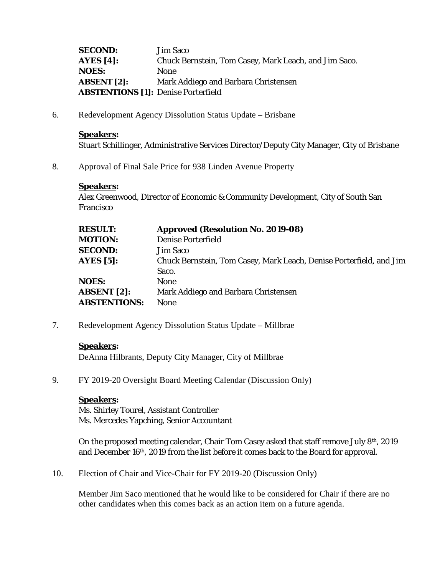**SECOND:** Jim Saco **AYES [4]:** Chuck Bernstein, Tom Casey, Mark Leach, and Jim Saco. **NOES:** None **ABSENT [2]:** Mark Addiego and Barbara Christensen **ABSTENTIONS [1]:** Denise Porterfield

6. Redevelopment Agency Dissolution Status Update – Brisbane

#### **Speakers:**

Stuart Schillinger, Administrative Services Director/Deputy City Manager, City of Brisbane

8. Approval of Final Sale Price for 938 Linden Avenue Property

#### **Speakers:**

Alex Greenwood, Director of Economic & Community Development, City of South San Francisco

| <b>RESULT:</b>      | <b>Approved (Resolution No. 2019-08)</b>                            |
|---------------------|---------------------------------------------------------------------|
| <b>MOTION:</b>      | <b>Denise Porterfield</b>                                           |
| <b>SECOND:</b>      | <b>Jim Saco</b>                                                     |
| <b>AYES</b> [5]:    | Chuck Bernstein, Tom Casey, Mark Leach, Denise Porterfield, and Jim |
|                     | Saco.                                                               |
| <b>NOES:</b>        | <b>None</b>                                                         |
| <b>ABSENT</b> [2]:  | Mark Addiego and Barbara Christensen                                |
| <b>ABSTENTIONS:</b> | <b>None</b>                                                         |

7. Redevelopment Agency Dissolution Status Update – Millbrae

#### **Speakers:**

DeAnna Hilbrants, Deputy City Manager, City of Millbrae

9. FY 2019-20 Oversight Board Meeting Calendar (Discussion Only)

### **Speakers:**

Ms. Shirley Tourel, Assistant Controller Ms. Mercedes Yapching, Senior Accountant

On the proposed meeting calendar, Chair Tom Casey asked that staff remove July 8th, 2019 and December 16th, 2019 from the list before it comes back to the Board for approval.

10. Election of Chair and Vice-Chair for FY 2019-20 (Discussion Only)

Member Jim Saco mentioned that he would like to be considered for Chair if there are no other candidates when this comes back as an action item on a future agenda.